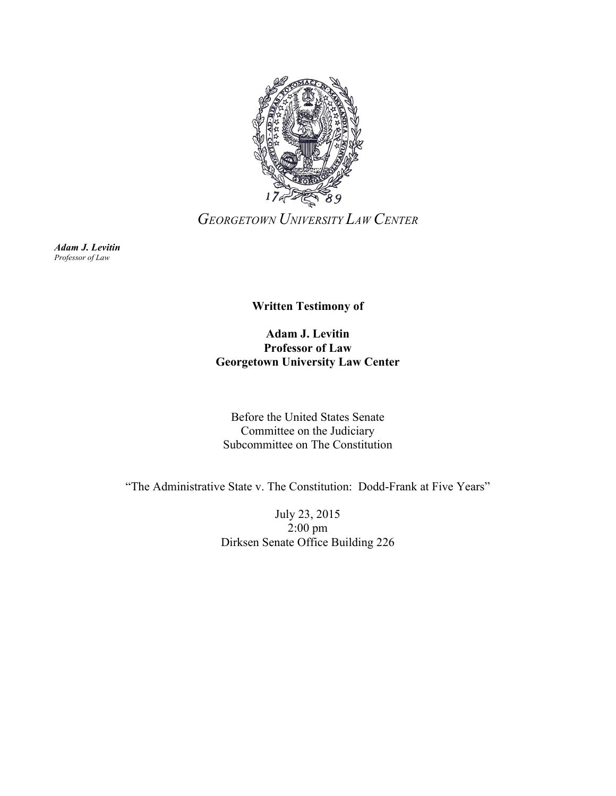

*GEORGETOWN UNIVERSITY LAW CENTER*

*Adam J. Levitin Professor of Law*

**Written Testimony of**

**Adam J. Levitin Professor of Law Georgetown University Law Center**

Before the United States Senate Committee on the Judiciary Subcommittee on The Constitution

"The Administrative State v. The Constitution: Dodd-Frank at Five Years"

July 23, 2015 2:00 pm Dirksen Senate Office Building 226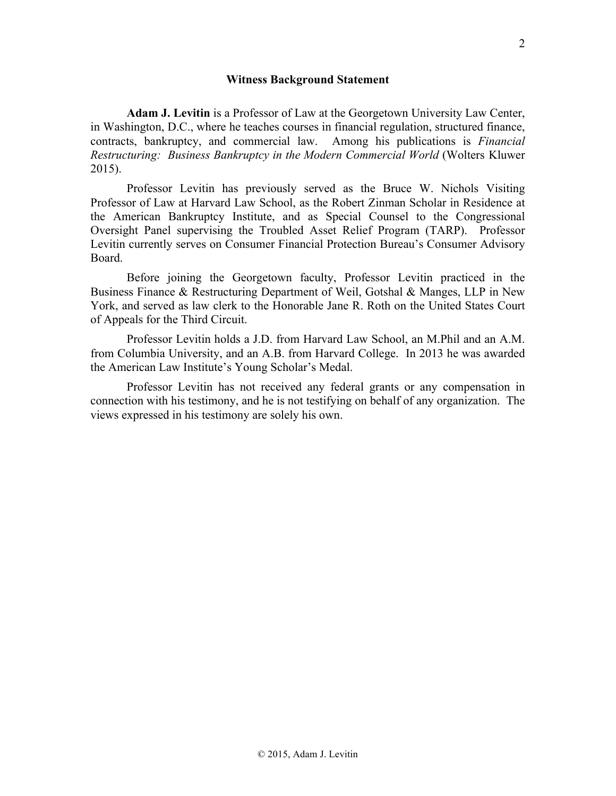**Adam J. Levitin** is a Professor of Law at the Georgetown University Law Center, in Washington, D.C., where he teaches courses in financial regulation, structured finance, contracts, bankruptcy, and commercial law. Among his publications is *Financial Restructuring: Business Bankruptcy in the Modern Commercial World* (Wolters Kluwer 2015).

Professor Levitin has previously served as the Bruce W. Nichols Visiting Professor of Law at Harvard Law School, as the Robert Zinman Scholar in Residence at the American Bankruptcy Institute, and as Special Counsel to the Congressional Oversight Panel supervising the Troubled Asset Relief Program (TARP). Professor Levitin currently serves on Consumer Financial Protection Bureau's Consumer Advisory Board.

Before joining the Georgetown faculty, Professor Levitin practiced in the Business Finance & Restructuring Department of Weil, Gotshal & Manges, LLP in New York, and served as law clerk to the Honorable Jane R. Roth on the United States Court of Appeals for the Third Circuit.

Professor Levitin holds a J.D. from Harvard Law School, an M.Phil and an A.M. from Columbia University, and an A.B. from Harvard College. In 2013 he was awarded the American Law Institute's Young Scholar's Medal.

Professor Levitin has not received any federal grants or any compensation in connection with his testimony, and he is not testifying on behalf of any organization. The views expressed in his testimony are solely his own.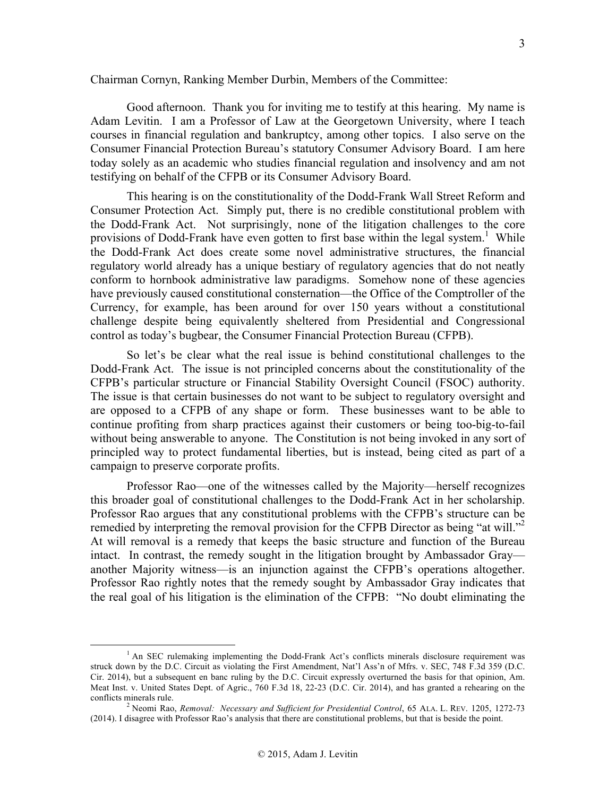Good afternoon. Thank you for inviting me to testify at this hearing. My name is Adam Levitin. I am a Professor of Law at the Georgetown University, where I teach courses in financial regulation and bankruptcy, among other topics. I also serve on the Consumer Financial Protection Bureau's statutory Consumer Advisory Board. I am here today solely as an academic who studies financial regulation and insolvency and am not testifying on behalf of the CFPB or its Consumer Advisory Board.

This hearing is on the constitutionality of the Dodd-Frank Wall Street Reform and Consumer Protection Act. Simply put, there is no credible constitutional problem with the Dodd-Frank Act. Not surprisingly, none of the litigation challenges to the core provisions of Dodd-Frank have even gotten to first base within the legal system.<sup>1</sup> While the Dodd-Frank Act does create some novel administrative structures, the financial regulatory world already has a unique bestiary of regulatory agencies that do not neatly conform to hornbook administrative law paradigms. Somehow none of these agencies have previously caused constitutional consternation—the Office of the Comptroller of the Currency, for example, has been around for over 150 years without a constitutional challenge despite being equivalently sheltered from Presidential and Congressional control as today's bugbear, the Consumer Financial Protection Bureau (CFPB).

So let's be clear what the real issue is behind constitutional challenges to the Dodd-Frank Act. The issue is not principled concerns about the constitutionality of the CFPB's particular structure or Financial Stability Oversight Council (FSOC) authority. The issue is that certain businesses do not want to be subject to regulatory oversight and are opposed to a CFPB of any shape or form. These businesses want to be able to continue profiting from sharp practices against their customers or being too-big-to-fail without being answerable to anyone. The Constitution is not being invoked in any sort of principled way to protect fundamental liberties, but is instead, being cited as part of a campaign to preserve corporate profits.

Professor Rao—one of the witnesses called by the Majority—herself recognizes this broader goal of constitutional challenges to the Dodd-Frank Act in her scholarship. Professor Rao argues that any constitutional problems with the CFPB's structure can be remedied by interpreting the removal provision for the CFPB Director as being "at will."<sup>2</sup> At will removal is a remedy that keeps the basic structure and function of the Bureau intact. In contrast, the remedy sought in the litigation brought by Ambassador Gray another Majority witness—is an injunction against the CFPB's operations altogether. Professor Rao rightly notes that the remedy sought by Ambassador Gray indicates that the real goal of his litigation is the elimination of the CFPB: "No doubt eliminating the

<sup>&</sup>lt;sup>1</sup> An SEC rulemaking implementing the Dodd-Frank Act's conflicts minerals disclosure requirement was struck down by the D.C. Circuit as violating the First Amendment, Nat'l Ass'n of Mfrs. v. SEC, 748 F.3d 359 (D.C. Cir. 2014), but a subsequent en banc ruling by the D.C. Circuit expressly overturned the basis for that opinion, Am. Meat Inst. v. United States Dept. of Agric., 760 F.3d 18, 22-23 (D.C. Cir. 2014), and has granted a rehearing on the conflicts minerals rule.<br><sup>2</sup> Neomi Rao, *Removal: Necessary and Sufficient for Presidential Control*, 65 ALA. L. REV. 1205, 1272-73

<sup>(2014).</sup> I disagree with Professor Rao's analysis that there are constitutional problems, but that is beside the point.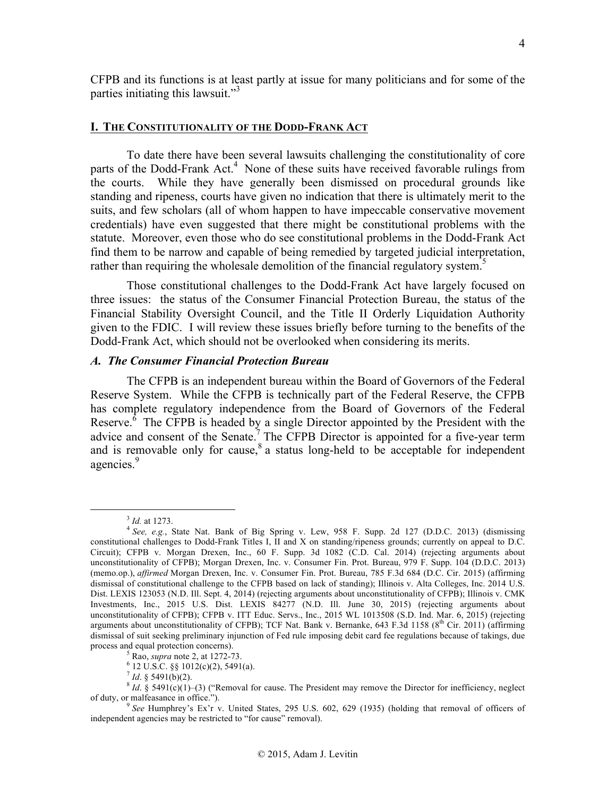CFPB and its functions is at least partly at issue for many politicians and for some of the parties initiating this lawsuit."<sup>3</sup>

#### **I. THE CONSTITUTIONALITY OF THE DODD-FRANK ACT**

To date there have been several lawsuits challenging the constitutionality of core parts of the Dodd-Frank Act.<sup>4</sup> None of these suits have received favorable rulings from the courts. While they have generally been dismissed on procedural grounds like standing and ripeness, courts have given no indication that there is ultimately merit to the suits, and few scholars (all of whom happen to have impeccable conservative movement credentials) have even suggested that there might be constitutional problems with the statute. Moreover, even those who do see constitutional problems in the Dodd-Frank Act find them to be narrow and capable of being remedied by targeted judicial interpretation, rather than requiring the wholesale demolition of the financial regulatory system.<sup>5</sup>

Those constitutional challenges to the Dodd-Frank Act have largely focused on three issues: the status of the Consumer Financial Protection Bureau, the status of the Financial Stability Oversight Council, and the Title II Orderly Liquidation Authority given to the FDIC. I will review these issues briefly before turning to the benefits of the Dodd-Frank Act, which should not be overlooked when considering its merits.

### *A. The Consumer Financial Protection Bureau*

The CFPB is an independent bureau within the Board of Governors of the Federal Reserve System. While the CFPB is technically part of the Federal Reserve, the CFPB has complete regulatory independence from the Board of Governors of the Federal Reserve. $6$  The CFPB is headed by a single Director appointed by the President with the advice and consent of the Senate.<sup>7</sup> The CFPB Director is appointed for a five-year term and is removable only for cause, $8$  a status long-held to be acceptable for independent agencies.<sup>9</sup>

<sup>3</sup> *Id.* at 1273. <sup>4</sup> *See, e.g.*, State Nat. Bank of Big Spring v. Lew, 958 F. Supp. 2d 127 (D.D.C. 2013) (dismissing constitutional challenges to Dodd-Frank Titles I, II and X on standing/ripeness grounds; currently on appeal to D.C. Circuit); CFPB v. Morgan Drexen, Inc., 60 F. Supp. 3d 1082 (C.D. Cal. 2014) (rejecting arguments about unconstitutionality of CFPB); Morgan Drexen, Inc. v. Consumer Fin. Prot. Bureau, 979 F. Supp. 104 (D.D.C. 2013) (memo.op.), *affirmed* Morgan Drexen, Inc. v. Consumer Fin. Prot. Bureau, 785 F.3d 684 (D.C. Cir. 2015) (affirming dismissal of constitutional challenge to the CFPB based on lack of standing); Illinois v. Alta Colleges, Inc. 2014 U.S. Dist. LEXIS 123053 (N.D. Ill. Sept. 4, 2014) (rejecting arguments about unconstitutionality of CFPB); Illinois v. CMK Investments, Inc., 2015 U.S. Dist. LEXIS 84277 (N.D. Ill. June 30, 2015) (rejecting arguments about unconstitutionality of CFPB); CFPB v. ITT Educ. Servs., Inc., 2015 WL 1013508 (S.D. Ind. Mar. 6, 2015) (rejecting arguments about unconstitutionality of CFPB); TCF Nat. Bank v. Bernanke, 643 F.3d 1158 ( $8<sup>th</sup>$  Cir. 2011) (affirming dismissal of suit seeking preliminary injunction of Fed rule imposing debit card fee regulations because of takings, due process and equal protection concerns).

<sup>&</sup>lt;sup>5</sup> Rao, *supra* note 2, at 1272-73.<br>
<sup>6</sup> 12 U.S.C. §§ 1012(c)(2), 5491(a).<br>
<sup>7</sup> Id. § 5491(b)(2).

 ${}^{8}$  *Id.* § 5491(c)(1)–(3) ("Removal for cause. The President may remove the Director for inefficiency, neglect of duty, or malfeasance in office.").

See Humphrey's Ex'r v. United States, 295 U.S. 602, 629 (1935) (holding that removal of officers of independent agencies may be restricted to "for cause" removal).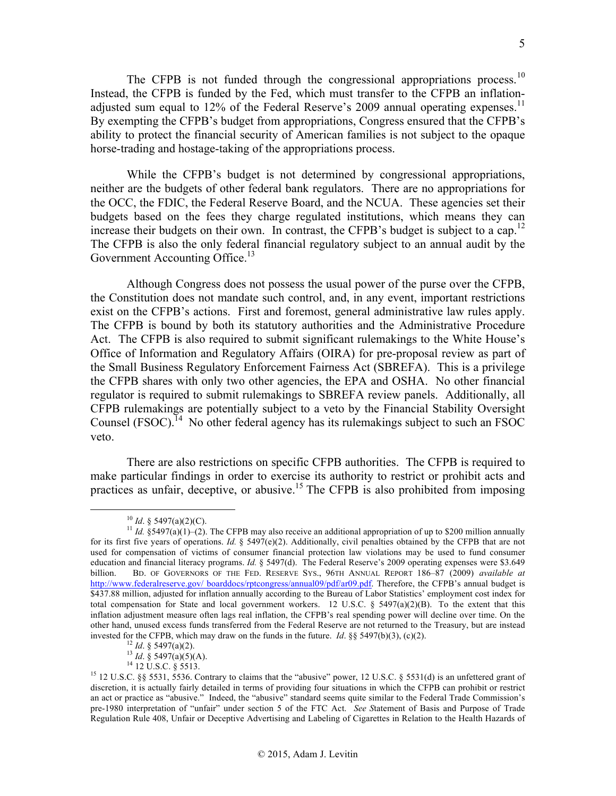The CFPB is not funded through the congressional appropriations process.<sup>10</sup> Instead, the CFPB is funded by the Fed, which must transfer to the CFPB an inflationadjusted sum equal to 12% of the Federal Reserve's 2009 annual operating expenses.<sup>11</sup> By exempting the CFPB's budget from appropriations, Congress ensured that the CFPB's ability to protect the financial security of American families is not subject to the opaque horse-trading and hostage-taking of the appropriations process.

While the CFPB's budget is not determined by congressional appropriations, neither are the budgets of other federal bank regulators. There are no appropriations for the OCC, the FDIC, the Federal Reserve Board, and the NCUA. These agencies set their budgets based on the fees they charge regulated institutions, which means they can increase their budgets on their own. In contrast, the CFPB's budget is subject to a cap. 12 The CFPB is also the only federal financial regulatory subject to an annual audit by the Government Accounting Office.<sup>13</sup>

Although Congress does not possess the usual power of the purse over the CFPB, the Constitution does not mandate such control, and, in any event, important restrictions exist on the CFPB's actions. First and foremost, general administrative law rules apply. The CFPB is bound by both its statutory authorities and the Administrative Procedure Act. The CFPB is also required to submit significant rulemakings to the White House's Office of Information and Regulatory Affairs (OIRA) for pre-proposal review as part of the Small Business Regulatory Enforcement Fairness Act (SBREFA). This is a privilege the CFPB shares with only two other agencies, the EPA and OSHA. No other financial regulator is required to submit rulemakings to SBREFA review panels. Additionally, all CFPB rulemakings are potentially subject to a veto by the Financial Stability Oversight Counsel (FSOC).<sup>14</sup> No other federal agency has its rulemakings subject to such an FSOC veto.

There are also restrictions on specific CFPB authorities. The CFPB is required to make particular findings in order to exercise its authority to restrict or prohibit acts and practices as unfair, deceptive, or abusive.15 The CFPB is also prohibited from imposing

<sup>&</sup>lt;sup>10</sup> *Id.* § 5497(a)(2)(C).<br><sup>11</sup> *Id.* 85497(a)(1)–(2). The CFPB may also receive an additional appropriation of up to \$200 million annually for its first five years of operations. *Id.* § 5497(e)(2). Additionally, civil penalties obtained by the CFPB that are not used for compensation of victims of consumer financial protection law violations may be used to fund consumer education and financial literacy programs. *Id.* § 5497(d). The Federal Reserve's 2009 operating expenses were \$3.649 billion. BD. OF GOVERNORS OF THE FED. RESERVE SYS., 96TH ANNUAL REPORT 186–87 (2009) *available at*  http://www.federalreserve.gov/ boarddocs/rptcongress/annual09/pdf/ar09.pdf. Therefore, the CFPB's annual budget is \$437.88 million, adjusted for inflation annually according to the Bureau of Labor Statistics' employment cost index for total compensation for State and local government workers. 12 U.S.C.  $\S$  5497(a)(2)(B). To the extent that this inflation adjustment measure often lags real inflation, the CFPB's real spending power will decline over time. On the other hand, unused excess funds transferred from the Federal Reserve are not returned to the Treasury, but are instead invested for the CFPB, which may draw on the funds in the future. *Id.* §§ 5497(b)(3), (c)(2).

<sup>&</sup>lt;sup>12</sup> *Id.* § 5497(a)(2).<br><sup>13</sup> *Id.* § 5497(a)(5)(A).<br><sup>14</sup> 12 U.S.C. § 5513.<br><sup>15</sup> 12 U.S.C. §§ 5531, 5536. Contrary to claims that the "abusive" power, 12 U.S.C. § 5531(d) is an unfettered grant of discretion, it is actually fairly detailed in terms of providing four situations in which the CFPB can prohibit or restrict an act or practice as "abusive." Indeed, the "abusive" standard seems quite similar to the Federal Trade Commission's pre-1980 interpretation of "unfair" under section 5 of the FTC Act. *See S*tatement of Basis and Purpose of Trade Regulation Rule 408, Unfair or Deceptive Advertising and Labeling of Cigarettes in Relation to the Health Hazards of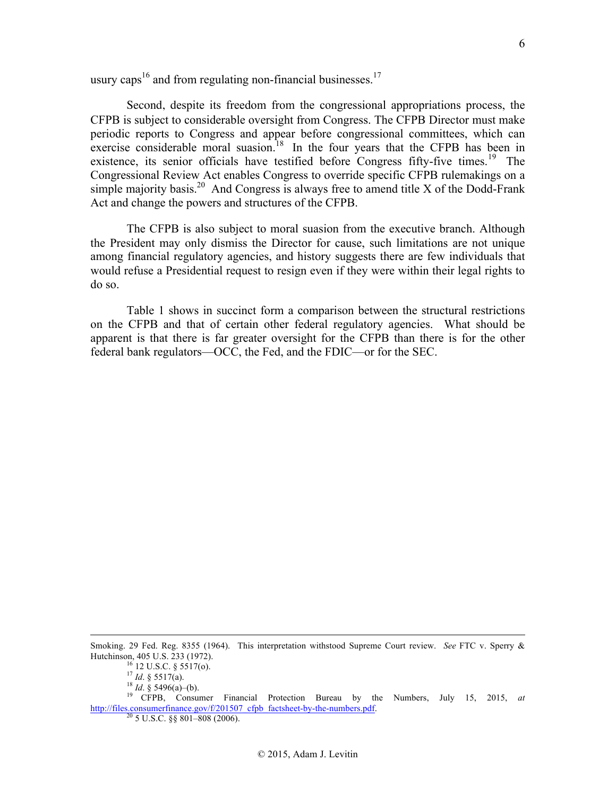usury caps<sup>16</sup> and from regulating non-financial businesses.<sup>17</sup>

Second, despite its freedom from the congressional appropriations process, the CFPB is subject to considerable oversight from Congress. The CFPB Director must make periodic reports to Congress and appear before congressional committees, which can exercise considerable moral suasion.<sup>18</sup> In the four years that the CFPB has been in existence, its senior officials have testified before Congress fifty-five times.<sup>19</sup> The Congressional Review Act enables Congress to override specific CFPB rulemakings on a simple majority basis.<sup>20</sup> And Congress is always free to amend title X of the Dodd-Frank Act and change the powers and structures of the CFPB.

The CFPB is also subject to moral suasion from the executive branch. Although the President may only dismiss the Director for cause, such limitations are not unique among financial regulatory agencies, and history suggests there are few individuals that would refuse a Presidential request to resign even if they were within their legal rights to do so.

Table 1 shows in succinct form a comparison between the structural restrictions on the CFPB and that of certain other federal regulatory agencies. What should be apparent is that there is far greater oversight for the CFPB than there is for the other federal bank regulators—OCC, the Fed, and the FDIC—or for the SEC.

 Smoking. 29 Fed. Reg. 8355 (1964). This interpretation withstood Supreme Court review. *See* FTC v. Sperry & Hutchinson, 405 U.S. 233 (1972).<br>
<sup>16</sup> 12 U.S.C. § 5517(o).<br>
<sup>17</sup> *Id.* § 5517(a).<br>
<sup>18</sup> *Id.* § 5496(a)–(b).<br>
<sup>19</sup> CFPB, Consumer Financial Protection Bureau by the Numbers, July 15, 2015, *at* 

http://files.consumerfinance.gov/f/201507\_cfpb\_factsheet-by-the-numbers.pdf. <sup>20</sup> 5 U.S.C. §§ 801–808 (2006).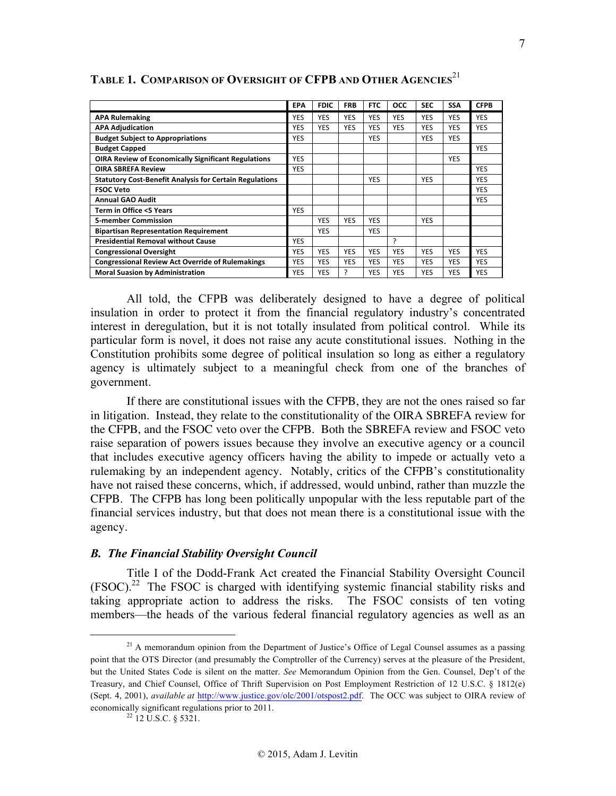|                                                                | <b>EPA</b> | <b>FDIC</b> | <b>FRB</b> | <b>FTC</b> | <b>OCC</b> | <b>SEC</b> | <b>SSA</b> | <b>CFPB</b> |
|----------------------------------------------------------------|------------|-------------|------------|------------|------------|------------|------------|-------------|
| <b>APA Rulemaking</b>                                          | <b>YES</b> | YES         | <b>YES</b> | <b>YES</b> | <b>YES</b> | <b>YES</b> | <b>YES</b> | <b>YES</b>  |
| <b>APA Adjudication</b>                                        | <b>YES</b> | YES         | <b>YES</b> | <b>YES</b> | <b>YES</b> | <b>YES</b> | <b>YES</b> | <b>YES</b>  |
| <b>Budget Subject to Appropriations</b>                        | <b>YES</b> |             |            | <b>YES</b> |            | <b>YES</b> | <b>YES</b> |             |
| <b>Budget Capped</b>                                           |            |             |            |            |            |            |            | <b>YES</b>  |
| <b>OIRA Review of Economically Significant Regulations</b>     | <b>YES</b> |             |            |            |            |            | <b>YES</b> |             |
| <b>OIRA SBREFA Review</b>                                      | <b>YES</b> |             |            |            |            |            |            | <b>YES</b>  |
| <b>Statutory Cost-Benefit Analysis for Certain Regulations</b> |            |             |            | <b>YES</b> |            | <b>YES</b> |            | <b>YES</b>  |
| <b>FSOC Veto</b>                                               |            |             |            |            |            |            |            | <b>YES</b>  |
| <b>Annual GAO Audit</b>                                        |            |             |            |            |            |            |            | <b>YES</b>  |
| Term in Office <5 Years                                        | <b>YES</b> |             |            |            |            |            |            |             |
| <b>5-member Commission</b>                                     |            | <b>YES</b>  | <b>YES</b> | <b>YES</b> |            | <b>YES</b> |            |             |
| <b>Bipartisan Representation Requirement</b>                   |            | <b>YES</b>  |            | <b>YES</b> |            |            |            |             |
| <b>Presidential Removal without Cause</b>                      | <b>YES</b> |             |            |            | ς          |            |            |             |
| <b>Congressional Oversight</b>                                 | <b>YES</b> | YES         | <b>YES</b> | <b>YES</b> | <b>YES</b> | <b>YES</b> | <b>YES</b> | <b>YES</b>  |
| <b>Congressional Review Act Override of Rulemakings</b>        | <b>YES</b> | YES         | <b>YES</b> | <b>YES</b> | <b>YES</b> | <b>YES</b> | <b>YES</b> | <b>YES</b>  |
| <b>Moral Suasion by Administration</b>                         | <b>YES</b> | YES         | 7          | <b>YES</b> | <b>YES</b> | <b>YES</b> | <b>YES</b> | <b>YES</b>  |

**TABLE 1. COMPARISON OF OVERSIGHT OF CFPB AND OTHER AGENCIES**<sup>21</sup>

All told, the CFPB was deliberately designed to have a degree of political insulation in order to protect it from the financial regulatory industry's concentrated interest in deregulation, but it is not totally insulated from political control. While its particular form is novel, it does not raise any acute constitutional issues. Nothing in the Constitution prohibits some degree of political insulation so long as either a regulatory agency is ultimately subject to a meaningful check from one of the branches of government.

If there are constitutional issues with the CFPB, they are not the ones raised so far in litigation. Instead, they relate to the constitutionality of the OIRA SBREFA review for the CFPB, and the FSOC veto over the CFPB. Both the SBREFA review and FSOC veto raise separation of powers issues because they involve an executive agency or a council that includes executive agency officers having the ability to impede or actually veto a rulemaking by an independent agency. Notably, critics of the CFPB's constitutionality have not raised these concerns, which, if addressed, would unbind, rather than muzzle the CFPB. The CFPB has long been politically unpopular with the less reputable part of the financial services industry, but that does not mean there is a constitutional issue with the agency.

# *B. The Financial Stability Oversight Council*

Title I of the Dodd-Frank Act created the Financial Stability Oversight Council (FSOC).22 The FSOC is charged with identifying systemic financial stability risks and taking appropriate action to address the risks. The FSOC consists of ten voting members—the heads of the various federal financial regulatory agencies as well as an

 $21$  A memorandum opinion from the Department of Justice's Office of Legal Counsel assumes as a passing point that the OTS Director (and presumably the Comptroller of the Currency) serves at the pleasure of the President, but the United States Code is silent on the matter. *See* Memorandum Opinion from the Gen. Counsel, Dep't of the Treasury, and Chief Counsel, Office of Thrift Supervision on Post Employment Restriction of 12 U.S.C. § 1812(e) (Sept. 4, 2001), *available at* http://www.justice.gov/olc/2001/otspost2.pdf. The OCC was subject to OIRA review of economically significant regulations prior to 2011.<br><sup>22</sup> 12 U.S.C. § 5321.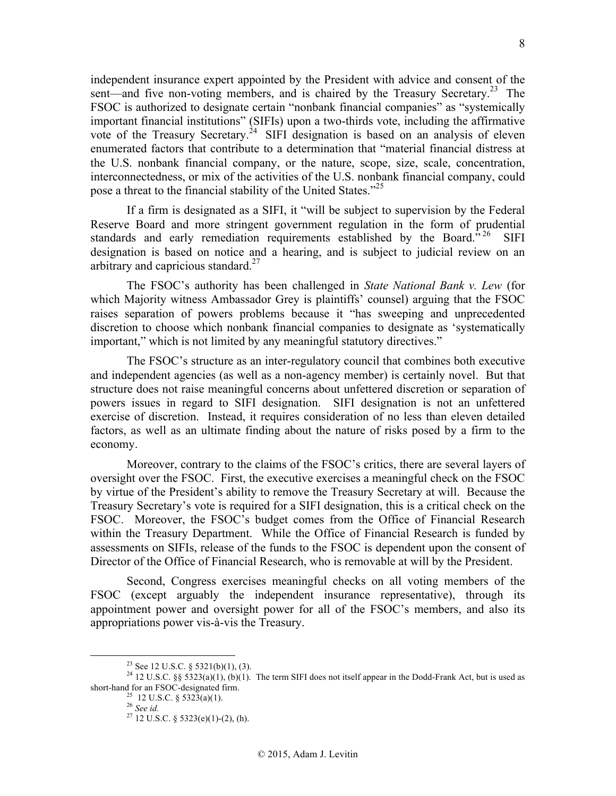independent insurance expert appointed by the President with advice and consent of the sent—and five non-voting members, and is chaired by the Treasury Secretary.<sup>23</sup> The FSOC is authorized to designate certain "nonbank financial companies" as "systemically important financial institutions" (SIFIs) upon a two-thirds vote, including the affirmative vote of the Treasury Secretary.<sup>24</sup> SIFI designation is based on an analysis of eleven enumerated factors that contribute to a determination that "material financial distress at the U.S. nonbank financial company, or the nature, scope, size, scale, concentration, interconnectedness, or mix of the activities of the U.S. nonbank financial company, could pose a threat to the financial stability of the United States."<sup>25</sup>

If a firm is designated as a SIFI, it "will be subject to supervision by the Federal Reserve Board and more stringent government regulation in the form of prudential standards and early remediation requirements established by the Board."<sup>26</sup> SIFI designation is based on notice and a hearing, and is subject to judicial review on an arbitrary and capricious standard. $27$ 

The FSOC's authority has been challenged in *State National Bank v. Lew* (for which Majority witness Ambassador Grey is plaintiffs' counsel) arguing that the FSOC raises separation of powers problems because it "has sweeping and unprecedented discretion to choose which nonbank financial companies to designate as 'systematically important," which is not limited by any meaningful statutory directives."

The FSOC's structure as an inter-regulatory council that combines both executive and independent agencies (as well as a non-agency member) is certainly novel. But that structure does not raise meaningful concerns about unfettered discretion or separation of powers issues in regard to SIFI designation. SIFI designation is not an unfettered exercise of discretion. Instead, it requires consideration of no less than eleven detailed factors, as well as an ultimate finding about the nature of risks posed by a firm to the economy.

Moreover, contrary to the claims of the FSOC's critics, there are several layers of oversight over the FSOC. First, the executive exercises a meaningful check on the FSOC by virtue of the President's ability to remove the Treasury Secretary at will. Because the Treasury Secretary's vote is required for a SIFI designation, this is a critical check on the FSOC. Moreover, the FSOC's budget comes from the Office of Financial Research within the Treasury Department. While the Office of Financial Research is funded by assessments on SIFIs, release of the funds to the FSOC is dependent upon the consent of Director of the Office of Financial Research, who is removable at will by the President.

Second, Congress exercises meaningful checks on all voting members of the FSOC (except arguably the independent insurance representative), through its appointment power and oversight power for all of the FSOC's members, and also its appropriations power vis-à-vis the Treasury.

<sup>&</sup>lt;sup>23</sup> See 12 U.S.C. § 5321(b)(1), (3).<br><sup>24</sup> 12 U.S.C. §§ 5323(a)(1), (b)(1). The term SIFI does not itself appear in the Dodd-Frank Act, but is used as short-hand for an FSOC-designated firm.<br><sup>25</sup> 12 U.S.C. § 5323(a)(1).<br><sup>26</sup> *See id.* <sup>27</sup> 12 U.S.C. § 5323(e)(1)-(2), (h).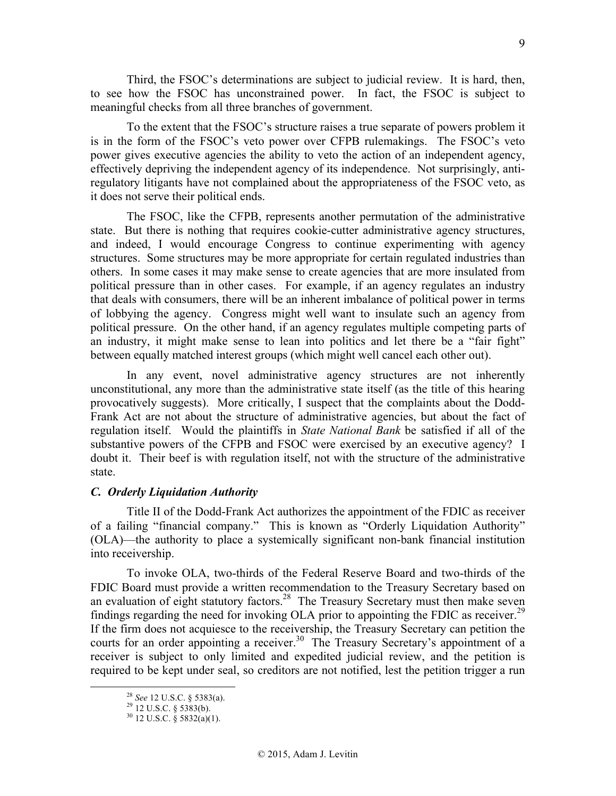Third, the FSOC's determinations are subject to judicial review. It is hard, then, to see how the FSOC has unconstrained power. In fact, the FSOC is subject to meaningful checks from all three branches of government.

To the extent that the FSOC's structure raises a true separate of powers problem it is in the form of the FSOC's veto power over CFPB rulemakings. The FSOC's veto power gives executive agencies the ability to veto the action of an independent agency, effectively depriving the independent agency of its independence. Not surprisingly, antiregulatory litigants have not complained about the appropriateness of the FSOC veto, as it does not serve their political ends.

The FSOC, like the CFPB, represents another permutation of the administrative state. But there is nothing that requires cookie-cutter administrative agency structures, and indeed, I would encourage Congress to continue experimenting with agency structures. Some structures may be more appropriate for certain regulated industries than others. In some cases it may make sense to create agencies that are more insulated from political pressure than in other cases. For example, if an agency regulates an industry that deals with consumers, there will be an inherent imbalance of political power in terms of lobbying the agency. Congress might well want to insulate such an agency from political pressure. On the other hand, if an agency regulates multiple competing parts of an industry, it might make sense to lean into politics and let there be a "fair fight" between equally matched interest groups (which might well cancel each other out).

In any event, novel administrative agency structures are not inherently unconstitutional, any more than the administrative state itself (as the title of this hearing provocatively suggests). More critically, I suspect that the complaints about the Dodd-Frank Act are not about the structure of administrative agencies, but about the fact of regulation itself. Would the plaintiffs in *State National Bank* be satisfied if all of the substantive powers of the CFPB and FSOC were exercised by an executive agency? I doubt it. Their beef is with regulation itself, not with the structure of the administrative state.

### *C. Orderly Liquidation Authority*

Title II of the Dodd-Frank Act authorizes the appointment of the FDIC as receiver of a failing "financial company." This is known as "Orderly Liquidation Authority" (OLA)—the authority to place a systemically significant non-bank financial institution into receivership.

To invoke OLA, two-thirds of the Federal Reserve Board and two-thirds of the FDIC Board must provide a written recommendation to the Treasury Secretary based on an evaluation of eight statutory factors.<sup>28</sup> The Treasury Secretary must then make seven findings regarding the need for invoking OLA prior to appointing the FDIC as receiver.<sup>29</sup> If the firm does not acquiesce to the receivership, the Treasury Secretary can petition the courts for an order appointing a receiver.<sup>30</sup> The Treasury Secretary's appointment of a receiver is subject to only limited and expedited judicial review, and the petition is required to be kept under seal, so creditors are not notified, lest the petition trigger a run

<sup>&</sup>lt;sup>28</sup> *See* 12 U.S.C. § 5383(a).<br><sup>29</sup> 12 U.S.C. § 5383(b).<br><sup>30</sup> 12 U.S.C. § 5832(a)(1).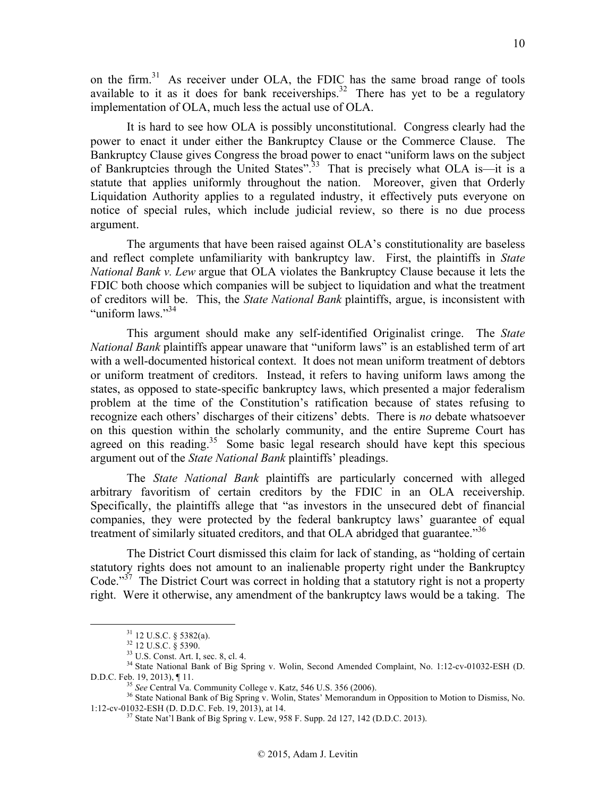on the firm.<sup>31</sup> As receiver under OLA, the FDIC has the same broad range of tools available to it as it does for bank receiverships.<sup>32</sup> There has yet to be a regulatory implementation of OLA, much less the actual use of OLA.

It is hard to see how OLA is possibly unconstitutional. Congress clearly had the power to enact it under either the Bankruptcy Clause or the Commerce Clause. The Bankruptcy Clause gives Congress the broad power to enact "uniform laws on the subject of Bankruptcies through the United States".33 That is precisely what OLA is—it is a statute that applies uniformly throughout the nation. Moreover, given that Orderly Liquidation Authority applies to a regulated industry, it effectively puts everyone on notice of special rules, which include judicial review, so there is no due process argument.

The arguments that have been raised against OLA's constitutionality are baseless and reflect complete unfamiliarity with bankruptcy law. First, the plaintiffs in *State National Bank v. Lew* argue that OLA violates the Bankruptcy Clause because it lets the FDIC both choose which companies will be subject to liquidation and what the treatment of creditors will be. This, the *State National Bank* plaintiffs, argue, is inconsistent with "uniform laws" $^{34}$ 

This argument should make any self-identified Originalist cringe. The *State National Bank* plaintiffs appear unaware that "uniform laws" is an established term of art with a well-documented historical context. It does not mean uniform treatment of debtors or uniform treatment of creditors. Instead, it refers to having uniform laws among the states, as opposed to state-specific bankruptcy laws, which presented a major federalism problem at the time of the Constitution's ratification because of states refusing to recognize each others' discharges of their citizens' debts. There is *no* debate whatsoever on this question within the scholarly community, and the entire Supreme Court has agreed on this reading.<sup>35</sup> Some basic legal research should have kept this specious argument out of the *State National Bank* plaintiffs' pleadings.

The *State National Bank* plaintiffs are particularly concerned with alleged arbitrary favoritism of certain creditors by the FDIC in an OLA receivership. Specifically, the plaintiffs allege that "as investors in the unsecured debt of financial companies, they were protected by the federal bankruptcy laws' guarantee of equal treatment of similarly situated creditors, and that OLA abridged that guarantee.<sup>356</sup>

The District Court dismissed this claim for lack of standing, as "holding of certain statutory rights does not amount to an inalienable property right under the Bankruptcy Code."<sup>37</sup> The District Court was correct in holding that a statutory right is not a property right. Were it otherwise, any amendment of the bankruptcy laws would be a taking. The

<sup>&</sup>lt;sup>31</sup> 12 U.S.C. § 5382(a).<br><sup>32</sup> 12 U.S.C. § 5390.<br><sup>33</sup> U.S. Const. Art. I, sec. 8, cl. 4.<br><sup>34</sup> State National Bank of Big Spring v. Wolin, Second Amended Complaint, No. 1:12-cv-01032-ESH (D.

D.D.C. Feb. 19, 2013), ¶ 11.<br><sup>35</sup> *See* Central Va. Community College v. Katz, 546 U.S. 356 (2006).<br><sup>36</sup> State National Bank of Big Spring v. Wolin, States' Memorandum in Opposition to Motion to Dismiss, No.<br>1:12-cv-01032-

 $^{37}$  State Nat'l Bank of Big Spring v. Lew, 958 F. Supp. 2d 127, 142 (D.D.C. 2013).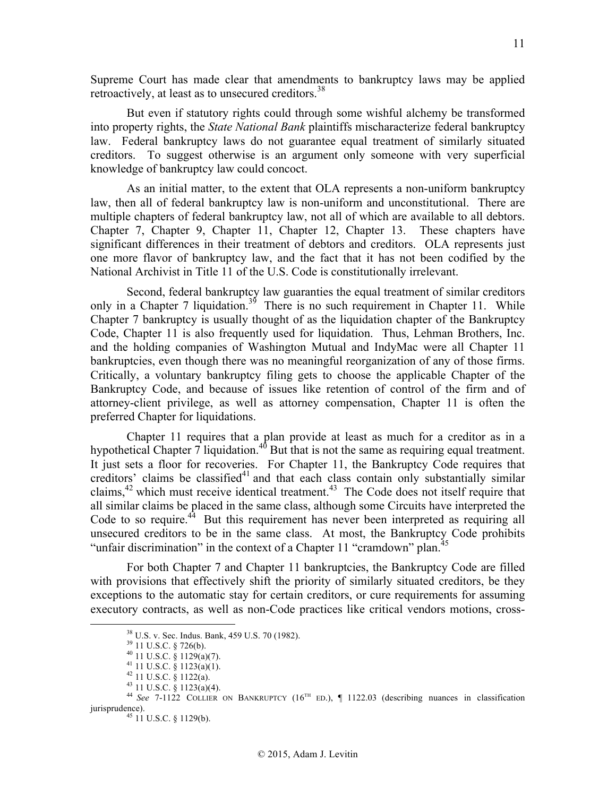Supreme Court has made clear that amendments to bankruptcy laws may be applied retroactively, at least as to unsecured creditors.<sup>38</sup>

But even if statutory rights could through some wishful alchemy be transformed into property rights, the *State National Bank* plaintiffs mischaracterize federal bankruptcy law. Federal bankruptcy laws do not guarantee equal treatment of similarly situated creditors. To suggest otherwise is an argument only someone with very superficial knowledge of bankruptcy law could concoct.

As an initial matter, to the extent that OLA represents a non-uniform bankruptcy law, then all of federal bankruptcy law is non-uniform and unconstitutional. There are multiple chapters of federal bankruptcy law, not all of which are available to all debtors. Chapter 7, Chapter 9, Chapter 11, Chapter 12, Chapter 13. These chapters have significant differences in their treatment of debtors and creditors. OLA represents just one more flavor of bankruptcy law, and the fact that it has not been codified by the National Archivist in Title 11 of the U.S. Code is constitutionally irrelevant.

Second, federal bankruptcy law guaranties the equal treatment of similar creditors only in a Chapter 7 liquidation.<sup>39</sup> There is no such requirement in Chapter 11. While Chapter 7 bankruptcy is usually thought of as the liquidation chapter of the Bankruptcy Code, Chapter 11 is also frequently used for liquidation. Thus, Lehman Brothers, Inc. and the holding companies of Washington Mutual and IndyMac were all Chapter 11 bankruptcies, even though there was no meaningful reorganization of any of those firms. Critically, a voluntary bankruptcy filing gets to choose the applicable Chapter of the Bankruptcy Code, and because of issues like retention of control of the firm and of attorney-client privilege, as well as attorney compensation, Chapter 11 is often the preferred Chapter for liquidations.

Chapter 11 requires that a plan provide at least as much for a creditor as in a hypothetical Chapter 7 liquidation.<sup>40</sup> But that is not the same as requiring equal treatment. It just sets a floor for recoveries. For Chapter 11, the Bankruptcy Code requires that creditors' claims be classified $41$  and that each class contain only substantially similar claims,<sup>42</sup> which must receive identical treatment.<sup>43</sup> The Code does not itself require that all similar claims be placed in the same class, although some Circuits have interpreted the Code to so require.<sup>44</sup> But this requirement has never been interpreted as requiring all unsecured creditors to be in the same class. At most, the Bankruptcy Code prohibits "unfair discrimination" in the context of a Chapter 11 "cramdown" plan.<sup>45</sup>

For both Chapter 7 and Chapter 11 bankruptcies, the Bankruptcy Code are filled with provisions that effectively shift the priority of similarly situated creditors, be they exceptions to the automatic stay for certain creditors, or cure requirements for assuming executory contracts, as well as non-Code practices like critical vendors motions, cross-

<sup>&</sup>lt;sup>38</sup> U.S. v. Sec. Indus. Bank, 459 U.S. 70 (1982).<br>
<sup>39</sup> 11 U.S.C. § 726(b).<br>
<sup>40</sup> 11 U.S.C. § 1129(a)(7).<br>
<sup>41</sup> 11 U.S.C. § 1123(a)(1).<br>
<sup>42</sup> 11 U.S.C. § 1122(a).<br>
<sup>43</sup> 11 U.S.C. § 1122(a).<br>
<sup>43</sup> 11 U.S.C. § 1123(a)(4).<br>

 $45$  11 U.S.C. § 1129(b).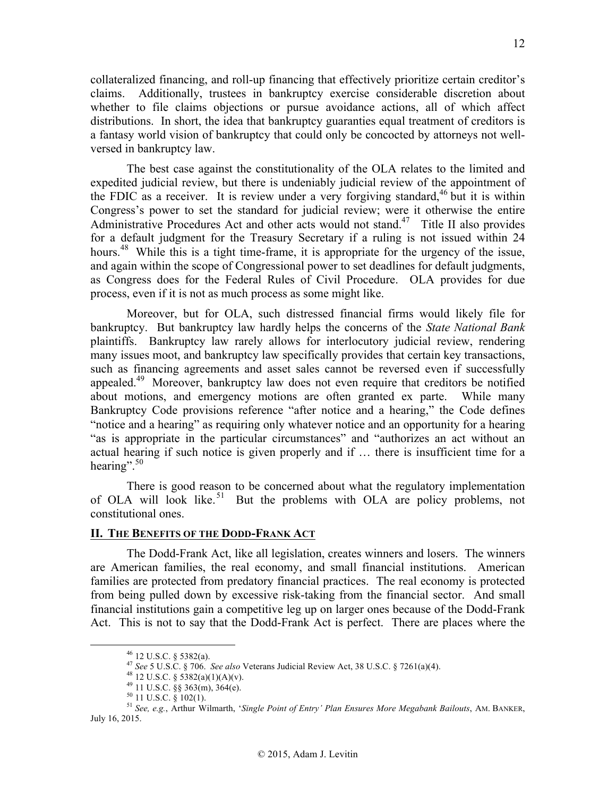collateralized financing, and roll-up financing that effectively prioritize certain creditor's claims. Additionally, trustees in bankruptcy exercise considerable discretion about whether to file claims objections or pursue avoidance actions, all of which affect distributions. In short, the idea that bankruptcy guaranties equal treatment of creditors is a fantasy world vision of bankruptcy that could only be concocted by attorneys not wellversed in bankruptcy law.

The best case against the constitutionality of the OLA relates to the limited and expedited judicial review, but there is undeniably judicial review of the appointment of the FDIC as a receiver. It is review under a very forgiving standard,  $46$  but it is within Congress's power to set the standard for judicial review; were it otherwise the entire Administrative Procedures Act and other acts would not stand.<sup>47</sup> Title II also provides for a default judgment for the Treasury Secretary if a ruling is not issued within 24 hours.<sup>48</sup> While this is a tight time-frame, it is appropriate for the urgency of the issue, and again within the scope of Congressional power to set deadlines for default judgments, as Congress does for the Federal Rules of Civil Procedure. OLA provides for due process, even if it is not as much process as some might like.

Moreover, but for OLA, such distressed financial firms would likely file for bankruptcy. But bankruptcy law hardly helps the concerns of the *State National Bank*  plaintiffs. Bankruptcy law rarely allows for interlocutory judicial review, rendering many issues moot, and bankruptcy law specifically provides that certain key transactions, such as financing agreements and asset sales cannot be reversed even if successfully appealed.<sup>49</sup> Moreover, bankruptcy law does not even require that creditors be notified about motions, and emergency motions are often granted ex parte. While many Bankruptcy Code provisions reference "after notice and a hearing," the Code defines "notice and a hearing" as requiring only whatever notice and an opportunity for a hearing "as is appropriate in the particular circumstances" and "authorizes an act without an actual hearing if such notice is given properly and if … there is insufficient time for a hearing".<sup>50</sup>

There is good reason to be concerned about what the regulatory implementation of OLA will look like.<sup>51</sup> But the problems with OLA are policy problems, not constitutional ones.

## **II. THE BENEFITS OF THE DODD-FRANK ACT**

The Dodd-Frank Act, like all legislation, creates winners and losers. The winners are American families, the real economy, and small financial institutions. American families are protected from predatory financial practices. The real economy is protected from being pulled down by excessive risk-taking from the financial sector. And small financial institutions gain a competitive leg up on larger ones because of the Dodd-Frank Act. This is not to say that the Dodd-Frank Act is perfect. There are places where the

<sup>&</sup>lt;sup>46</sup> 12 U.S.C. § 5382(a).<br><sup>47</sup> *See* 5 U.S.C. § 706. *See also* Veterans Judicial Review Act, 38 U.S.C. § 7261(a)(4).<br><sup>48</sup> 12 U.S.C. § 5382(a)(1)(A)(v).<br><sup>49</sup> 11 U.S.C. § 363(m), 364(e).<br><sup>50</sup> 11 U.S.C. § 102(1).<br><sup>51</sup> *See,* July 16, 2015.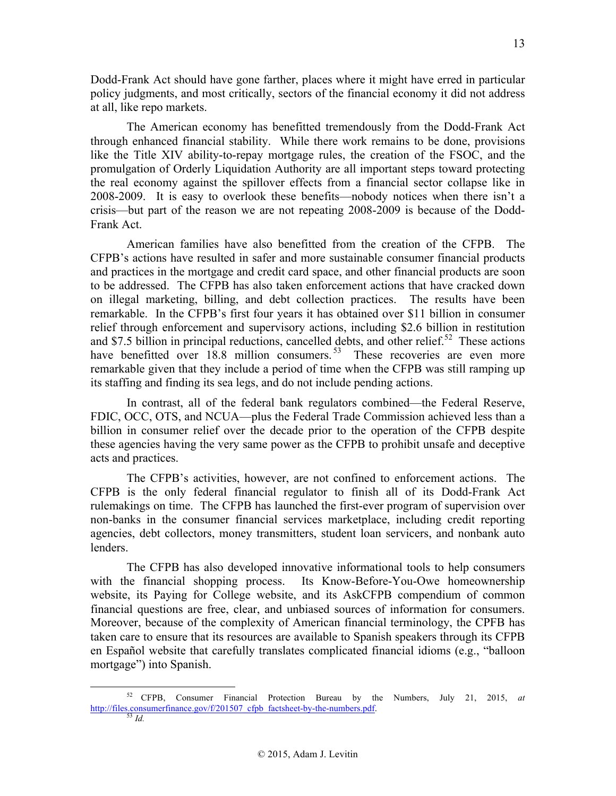Dodd-Frank Act should have gone farther, places where it might have erred in particular policy judgments, and most critically, sectors of the financial economy it did not address at all, like repo markets.

The American economy has benefitted tremendously from the Dodd-Frank Act through enhanced financial stability. While there work remains to be done, provisions like the Title XIV ability-to-repay mortgage rules, the creation of the FSOC, and the promulgation of Orderly Liquidation Authority are all important steps toward protecting the real economy against the spillover effects from a financial sector collapse like in 2008-2009. It is easy to overlook these benefits—nobody notices when there isn't a crisis—but part of the reason we are not repeating 2008-2009 is because of the Dodd-Frank Act.

American families have also benefitted from the creation of the CFPB. The CFPB's actions have resulted in safer and more sustainable consumer financial products and practices in the mortgage and credit card space, and other financial products are soon to be addressed. The CFPB has also taken enforcement actions that have cracked down on illegal marketing, billing, and debt collection practices. The results have been remarkable. In the CFPB's first four years it has obtained over \$11 billion in consumer relief through enforcement and supervisory actions, including \$2.6 billion in restitution and \$7.5 billion in principal reductions, cancelled debts, and other relief.<sup>52</sup> These actions have benefitted over 18.8 million consumers.<sup>53</sup> These recoveries are even more remarkable given that they include a period of time when the CFPB was still ramping up its staffing and finding its sea legs, and do not include pending actions.

In contrast, all of the federal bank regulators combined—the Federal Reserve, FDIC, OCC, OTS, and NCUA—plus the Federal Trade Commission achieved less than a billion in consumer relief over the decade prior to the operation of the CFPB despite these agencies having the very same power as the CFPB to prohibit unsafe and deceptive acts and practices.

The CFPB's activities, however, are not confined to enforcement actions. The CFPB is the only federal financial regulator to finish all of its Dodd-Frank Act rulemakings on time. The CFPB has launched the first-ever program of supervision over non-banks in the consumer financial services marketplace, including credit reporting agencies, debt collectors, money transmitters, student loan servicers, and nonbank auto lenders.

The CFPB has also developed innovative informational tools to help consumers with the financial shopping process. Its Know-Before-You-Owe homeownership website, its Paying for College website, and its AskCFPB compendium of common financial questions are free, clear, and unbiased sources of information for consumers. Moreover, because of the complexity of American financial terminology, the CPFB has taken care to ensure that its resources are available to Spanish speakers through its CFPB en Español website that carefully translates complicated financial idioms (e.g., "balloon mortgage") into Spanish.

13

 <sup>52</sup> CFPB, Consumer Financial Protection Bureau by the Numbers, July 21, 2015, *at* http://files.consumerfinance.gov/f/201507\_cfpb\_factsheet-by-the-numbers.pdf. <sup>53</sup> *Id.*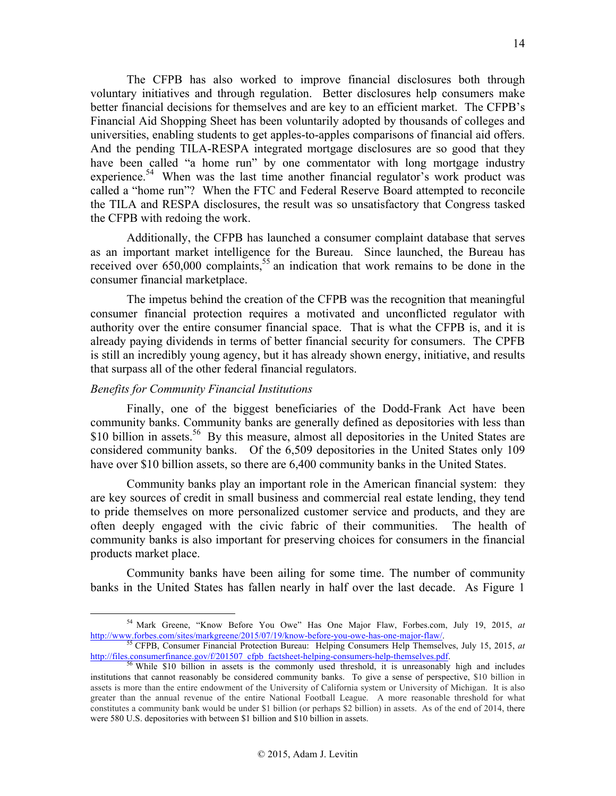The CFPB has also worked to improve financial disclosures both through voluntary initiatives and through regulation. Better disclosures help consumers make better financial decisions for themselves and are key to an efficient market. The CFPB's Financial Aid Shopping Sheet has been voluntarily adopted by thousands of colleges and universities, enabling students to get apples-to-apples comparisons of financial aid offers. And the pending TILA-RESPA integrated mortgage disclosures are so good that they have been called "a home run" by one commentator with long mortgage industry experience.<sup>54</sup> When was the last time another financial regulator's work product was called a "home run"? When the FTC and Federal Reserve Board attempted to reconcile the TILA and RESPA disclosures, the result was so unsatisfactory that Congress tasked the CFPB with redoing the work.

Additionally, the CFPB has launched a consumer complaint database that serves as an important market intelligence for the Bureau. Since launched, the Bureau has received over  $650,000$  complaints,<sup>55</sup> an indication that work remains to be done in the consumer financial marketplace.

The impetus behind the creation of the CFPB was the recognition that meaningful consumer financial protection requires a motivated and unconflicted regulator with authority over the entire consumer financial space. That is what the CFPB is, and it is already paying dividends in terms of better financial security for consumers. The CPFB is still an incredibly young agency, but it has already shown energy, initiative, and results that surpass all of the other federal financial regulators.

## *Benefits for Community Financial Institutions*

Finally, one of the biggest beneficiaries of the Dodd-Frank Act have been community banks. Community banks are generally defined as depositories with less than \$10 billion in assets.<sup>56</sup> By this measure, almost all depositories in the United States are considered community banks. Of the 6,509 depositories in the United States only 109 have over \$10 billion assets, so there are 6,400 community banks in the United States.

Community banks play an important role in the American financial system: they are key sources of credit in small business and commercial real estate lending, they tend to pride themselves on more personalized customer service and products, and they are often deeply engaged with the civic fabric of their communities. The health of community banks is also important for preserving choices for consumers in the financial products market place.

Community banks have been ailing for some time. The number of community banks in the United States has fallen nearly in half over the last decade. As Figure 1

<sup>&</sup>lt;sup>54</sup> Mark Greene, "Know Before You Owe" Has One Major Flaw, Forbes.com, July 19, 2015, *at* http://www.forbes.com/sites/markgreene/2015/07/19/know-before-you-owe-has-one-major-flaw/.

<sup>&</sup>lt;sup>55</sup> CFPB, Consumer Financial Protection Bureau: Helping Consumers Help Themselves, July 15, 2015, *at* http://files.consumerfinance.gov/f/201507\_cfpb\_factsheet-helping-consumers-help-themselves.pdf. <sup>56</sup> While \$10 billion in assets is the commonly used threshold, it is unreasonably high and includes

institutions that cannot reasonably be considered community banks. To give a sense of perspective, \$10 billion in assets is more than the entire endowment of the University of California system or University of Michigan. It is also greater than the annual revenue of the entire National Football League. A more reasonable threshold for what constitutes a community bank would be under \$1 billion (or perhaps \$2 billion) in assets. As of the end of 2014, there were 580 U.S. depositories with between \$1 billion and \$10 billion in assets.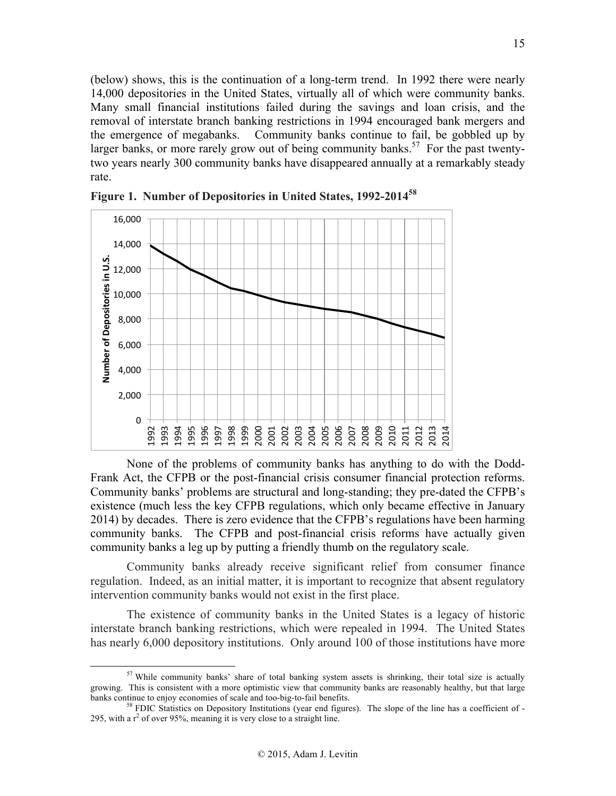(below) shows, this is the continuation of a long-term trend. In 1992 there were nearly 14,000 depositories in the United States, virtually all of which were community banks. Many small financial institutions failed during the savings and loan crisis, and the removal of interstate branch banking restrictions in 1994 encouraged bank mergers and the emergence of megabanks. Community banks continue to fail, be gobbled up by larger banks, or more rarely grow out of being community banks.<sup>57</sup> For the past twentytwo years nearly 300 community banks have disappeared annually at a remarkably steady rate.



**Figure 1. Number of Depositories in United States, 1992-2014<sup>58</sup>**

None of the problems of community banks has anything to do with the Dodd-Frank Act, the CFPB or the post-financial crisis consumer financial protection reforms. Community banks' problems are structural and long-standing; they pre-dated the CFPB's existence (much less the key CFPB regulations, which only became effective in January 2014) by decades. There is zero evidence that the CFPB's regulations have been harming community banks. The CFPB and post-financial crisis reforms have actually given community banks a leg up by putting a friendly thumb on the regulatory scale.

Community banks already receive significant relief from consumer finance regulation. Indeed, as an initial matter, it is important to recognize that absent regulatory intervention community banks would not exist in the first place.

The existence of community banks in the United States is a legacy of historic interstate branch banking restrictions, which were repealed in 1994. The United States has nearly 6,000 depository institutions. Only around 100 of those institutions have more

 $57$  While community banks' share of total banking system assets is shrinking, their total size is actually growing. This is consistent with a more optimistic view that community banks are reasonably healthy, but that large banks continue to enjoy economies of scale and too-big-to-fail benefits.<br><sup>58</sup> FDIC Statistics on Depository Institutions (year end figures). The slope of the line has a coefficient of -

<sup>295,</sup> with a  $r^2$  of over 95%, meaning it is very close to a straight line.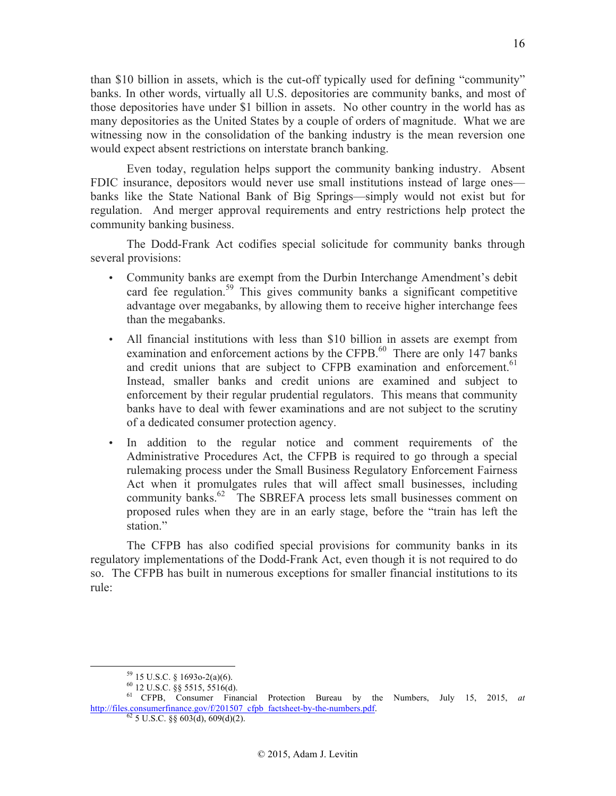than \$10 billion in assets, which is the cut-off typically used for defining "community" banks. In other words, virtually all U.S. depositories are community banks, and most of those depositories have under \$1 billion in assets. No other country in the world has as many depositories as the United States by a couple of orders of magnitude. What we are witnessing now in the consolidation of the banking industry is the mean reversion one would expect absent restrictions on interstate branch banking.

Even today, regulation helps support the community banking industry. Absent FDIC insurance, depositors would never use small institutions instead of large ones banks like the State National Bank of Big Springs—simply would not exist but for regulation. And merger approval requirements and entry restrictions help protect the community banking business.

The Dodd-Frank Act codifies special solicitude for community banks through several provisions:

- Community banks are exempt from the Durbin Interchange Amendment's debit card fee regulation.<sup>59</sup> This gives community banks a significant competitive advantage over megabanks, by allowing them to receive higher interchange fees than the megabanks.
- All financial institutions with less than \$10 billion in assets are exempt from examination and enforcement actions by the CFPB. $^{60}$  There are only 147 banks and credit unions that are subject to CFPB examination and enforcement.<sup>61</sup> Instead, smaller banks and credit unions are examined and subject to enforcement by their regular prudential regulators. This means that community banks have to deal with fewer examinations and are not subject to the scrutiny of a dedicated consumer protection agency.
- In addition to the regular notice and comment requirements of the Administrative Procedures Act, the CFPB is required to go through a special rulemaking process under the Small Business Regulatory Enforcement Fairness Act when it promulgates rules that will affect small businesses, including community banks.<sup>62</sup> The SBREFA process lets small businesses comment on proposed rules when they are in an early stage, before the "train has left the station."

The CFPB has also codified special provisions for community banks in its regulatory implementations of the Dodd-Frank Act, even though it is not required to do so. The CFPB has built in numerous exceptions for smaller financial institutions to its rule:

<sup>&</sup>lt;sup>59</sup> 15 U.S.C. § 1693o-2(a)(6).<br><sup>60</sup> 12 U.S.C. §§ 5515, 5516(d).<br><sup>61</sup> CFPB, Consumer Financial Protection Bureau by the Numbers, July 15, 2015, *at* http://files.consumerfinance.gov/f/201507\_cfpb\_factsheet-by-the-numbers.pdf.  $62$  5 U.S.C. §§ 603(d), 609(d)(2).

<sup>16</sup>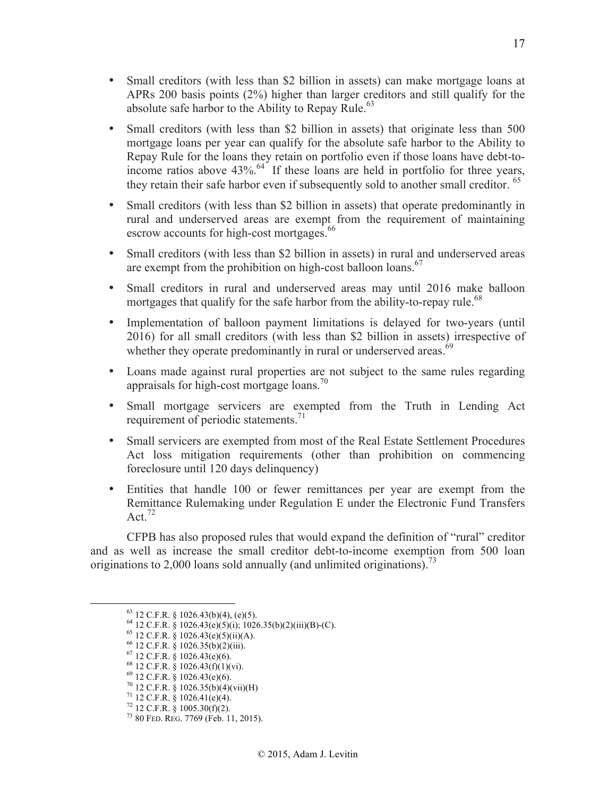- Small creditors (with less than \$2 billion in assets) can make mortgage loans at APRs 200 basis points (2%) higher than larger creditors and still qualify for the absolute safe harbor to the Ability to Repay Rule.<sup>63</sup>
- Small creditors (with less than \$2 billion in assets) that originate less than 500 mortgage loans per year can qualify for the absolute safe harbor to the Ability to Repay Rule for the loans they retain on portfolio even if those loans have debt-toincome ratios above  $43\%$ .<sup>64</sup> If these loans are held in portfolio for three years, they retain their safe harbor even if subsequently sold to another small creditor.<sup>65</sup>
- Small creditors (with less than \$2 billion in assets) that operate predominantly in rural and underserved areas are exempt from the requirement of maintaining escrow accounts for high-cost mortgages.<sup>66</sup>
- Small creditors (with less than \$2 billion in assets) in rural and underserved areas are exempt from the prohibition on high-cost balloon loans.<sup>67</sup>
- Small creditors in rural and underserved areas may until 2016 make balloon mortgages that qualify for the safe harbor from the ability-to-repay rule.<sup>68</sup>
- Implementation of balloon payment limitations is delayed for two-years (until 2016) for all small creditors (with less than \$2 billion in assets) irrespective of whether they operate predominantly in rural or underserved areas.<sup> $69$ </sup>
- Loans made against rural properties are not subject to the same rules regarding appraisals for high-cost mortgage loans.<sup>70</sup>
- Small mortgage servicers are exempted from the Truth in Lending Act requirement of periodic statements.<sup>71</sup>
- Small servicers are exempted from most of the Real Estate Settlement Procedures Act loss mitigation requirements (other than prohibition on commencing foreclosure until 120 days delinquency)
- Entities that handle 100 or fewer remittances per year are exempt from the Remittance Rulemaking under Regulation E under the Electronic Fund Transfers Act.  $72$

CFPB has also proposed rules that would expand the definition of "rural" creditor and as well as increase the small creditor debt-to-income exemption from 500 loan originations to 2,000 loans sold annually (and unlimited originations).<sup>73</sup>

<sup>&</sup>lt;sup>63</sup> 12 C.F.R. § 1026.43(b)(4), (e)(5).<br>
<sup>64</sup> 12 C.F.R. § 1026.43(e)(5)(i); 1026.35(b)(2)(iii)(B)-(C).<br>
<sup>65</sup> 12 C.F.R. § 1026.43(e)(5)(ii)(A).<br>
<sup>66</sup> 12 C.F.R. § 1026.35(b)(2)(iii).<br>
<sup>67</sup> 12 C.F.R. § 1026.43(e)(6).<br>
<sup>68</sup> 1